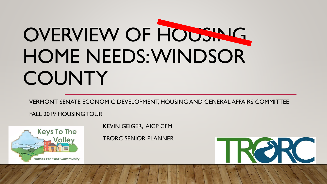# OVERVIEW OF HOUSING HOME NEEDS: WINDSOR COUNTY

VERMONT SENATE ECONOMIC DEVELOPMENT, HOUSING AND GENERAL AFFAIRS COMMITTEE

FALL 2019 HOUSING TOUR



KEVIN GEIGER, AICP CFM

TRORC SENIOR PLANNER

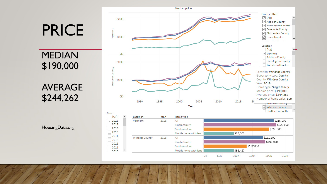

HousingData.org

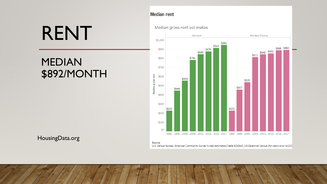## RENT

### MEDIAN \$892/MONTH

#### **Median rent**

#### Median gross rent estimates



#### HousingData.org

Source:

U.S. Census Bureau: American Community Survey 5-year estimates (Table B25064), US Decennial Census (for years prior to 201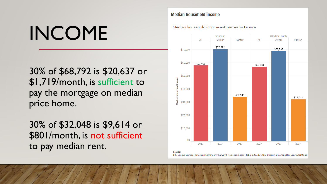# INCOME

30% of \$68,792 is \$20,637 or \$1,719/month, is sufficient to pay the mortgage on median price home.

30% of \$32,048 is \$9,614 or \$801/month, is not sufficient to pay median rent.

#### **Median household income**

Median household income estimates by tenure



U.S. Census Bureau: American Community Survey 5-year estimates (Table B25119), U.S. Decennial Census (for years 2010 and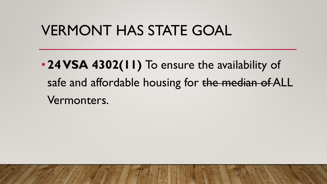### VERMONT HAS STATE GOAL

• **24 VSA 4302(11)** To ensure the availability of safe and affordable housing for the median of ALL Vermonters.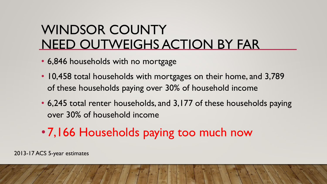### WINDSOR COUNTY NEED OUTWEIGHS ACTION BY FAR

- 6,846 households with no mortgage
- 10,458 total households with mortgages on their home, and 3,789 of these households paying over 30% of household income
- 6,245 total renter households, and 3,177 of these households paying over 30% of household income
- 7,166 Households paying too much now

2013-17 ACS 5-year estimates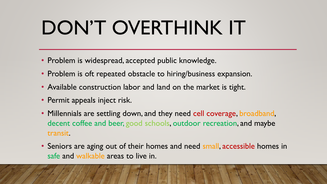## DON'T OVERTHINK IT

- Problem is widespread, accepted public knowledge.
- Problem is oft repeated obstacle to hiring/business expansion.
- Available construction labor and land on the market is tight.
- Permit appeals inject risk.
- Millennials are settling down, and they need cell coverage, broadband, decent coffee and beer, good schools, outdoor recreation, and maybe transit.
- Seniors are aging out of their homes and need small, accessible homes in safe and walkable areas to live in.